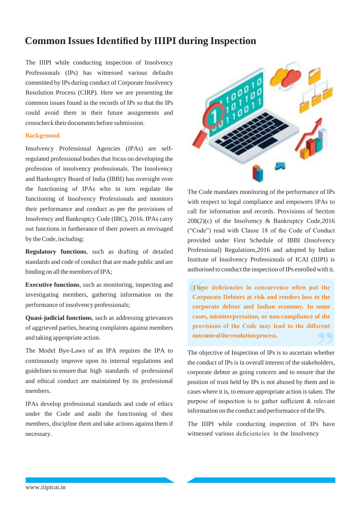# **Common Issues Identified by IIIPI during Inspection**

The IIIPI while conducting inspection of Insolvency Professionals (IPs) has witnessed various defaults committed by IPs during conduct of Corporate Insolvency Resolution Process (CIRP). Here we are presenting the common issues found in the records of IPs so that the IPs could avoid them in their future assignments and crosscheck their documents before submission.

### **Background**

Insolvency Professional Agencies (IPAs) are selfregulated professional bodies that focus on developing the profession of insolvency professionals. The Insolvency and Bankruptcy Board of India (IBBI) has oversight over the functioning of IPAs who in turn regulate the functioning of Insolvency Professionals and monitors their performance and conduct as per the provisions of Insolvency and Bankruptcy Code (IBC), 2016. IPAs carry out functions in furtherance of their powers as envisaged by theCode, including:

**Regulatory functions**, such as drafting of detailed standards and code of conduct that are made public and are binding on all the members of IPA;

**Executive functions**, such as monitoring, inspecting and investigating members, gathering information on the performance of insolvency professionals;

**Quasi-judicial functions**, such as addressing grievances of aggrieved parties, hearing complaints against members and taking appropriate action.

The Model Bye-Laws of an IPA requires the IPA to continuously improve upon its internal regulations and guidelines to ensure that high standards of professional and ethical conduct are maintained by its professional members.

IPAs develop professional standards and code of ethics under the Code and audit the functioning of their members, discipline them and take actions against them if necessary.



The Code mandates monitoring of the performance of IPs with respect to legal compliance and empowers IPAs to call for information and records. Provisions of Section 208(2)(c) of the Insolvency & Bankruptcy Code,2016 ("Code") read with Clause 18 of the Code of Conduct provided under First Schedule of IBBI (Insolvency Professional) Regulations,2016 and adopted by Indian Institute of Insolvency Professionals of ICAI (IIIPI) is authorised to conduct the inspection of IPs enrolled with it.

**These deficiencies in concurrence often put the Corporate Debtors at risk and renders loss to the corporate debtor and Indian economy. In some cases, misinterpretation, or non-compliance of the provisions of the Code may lead to the different outcomeoftheresolutionprocess.**

The objective of Inspection of IPs is to ascertain whether the conduct of IPs is in overall interest of the stakeholders, corporate debtor as going concern and to ensure that the position of trust held by IPs is not abused by them and in cases where it is, to ensure appropriate action istaken. The purpose of inspection is to gather sufficient & relevant information on the conduct and performance of the IPs.

The IIIPI while conducting inspection of IPs have witnessed various deficiencies in the Insolvency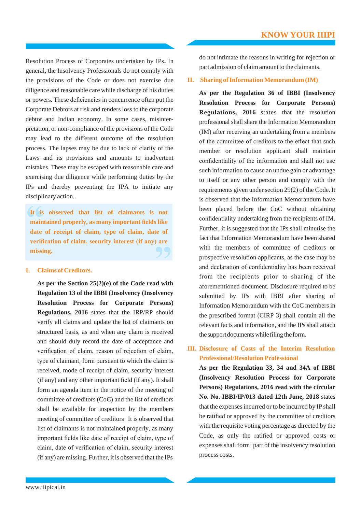Resolution Process of Corporates undertaken by IPs**.** In general, the Insolvency Professionals do not comply with the provisions of the Code or does not exercise due diligence and reasonable care while discharge of his duties or powers. These deficiencies in concurrence often put the Corporate Debtors at risk and renders loss to the corporate debtor and Indian economy. In some cases, misinterpretation, or non-compliance of the provisions of the Code may lead to the different outcome of the resolution process. The lapses may be due to lack of clarity of the Laws and its provisions and amounts to inadvertent mistakes. These may be escaped with reasonable care and exercising due diligence while performing duties by the IPs and thereby preventing the IPA to initiate any disciplinary action.

**It is observed that list of claimants is not maintained properly, as many important fields like date of receipt of claim, type of claim, date of verification of claim, security interest (if any) are missing.**

### **I. Claims of Creditors.**

**As per the Section 25(2)(e) of the Code read with Regulation 13 of the IBBI (Insolvency (Insolvency Resolution Process for Corporate Persons) Regulations, 2016** states that the IRP/RP should verify all claims and update the list of claimants on structured basis, as and when any claim is received and should duly record the date of acceptance and verification of claim, reason of rejection of claim, type of claimant, form pursuant to which the claim is received, mode of receipt of claim, security interest (if any) and any other important field (if any). It shall form an agenda item in the notice of the meeting of committee of creditors (CoC) and the list of creditors shall be available for inspection by the members meeting of committee of creditors It is observed that list of claimants is not maintained properly, as many important fields like date of receipt of claim, type of claim, date of verification of claim, security interest (if any) are missing. Further, it is observed that the IPs

do not intimate the reasons in writing for rejection or part admission of claim amount to the claimants.

### **II.** Sharing of Information Memorandum (IM)

**As per the Regulation 36 of IBBI (Insolvency Resolution Process for Corporate Persons) Regulations, 2016** states that the resolution professional shall share the Information Memorandum (IM) after receiving an undertaking from a members of the committee of creditors to the effect that such member or resolution applicant shall maintain confidentiality of the information and shall not use such information to cause an undue gain or advantage to itself or any other person and comply with the requirements given under section 29(2) of the Code. It is observed that the Information Memorandum have been placed before the CoC without obtaining confidentiality undertaking from the recipients of IM. Further, it is suggested that the IPs shall minutise the fact that Information Memorandum have been shared with the members of committee of creditors or prospective resolution applicants, as the case may be and declaration of confidentiality has been received from the recipients prior to sharing of the aforementioned document. Disclosure required to be submitted by IPs with IBBI after sharing of Information Memorandum with the CoC members in the prescribed format (CIRP 3) shall contain all the relevant facts and information, and the IPs shall attach the support documents while filing the form.

# **III. Disclosure of Costs of the Interim Resolution Professional/Resolution Professional**

**As per the Regulation 33, 34 and 34A of IBBI (Insolvency Resolution Process for Corporate Persons) Regulations, 2016 read with the circular No. No. IBBI/IP/013 dated 12th June, 2018** states that the expenses incurred or to be incurred by IP shall be ratified or approved by the committee of creditors with the requisite voting percentage as directed by the Code, as only the ratified or approved costs or expenses shall form part of the insolvency resolution process costs.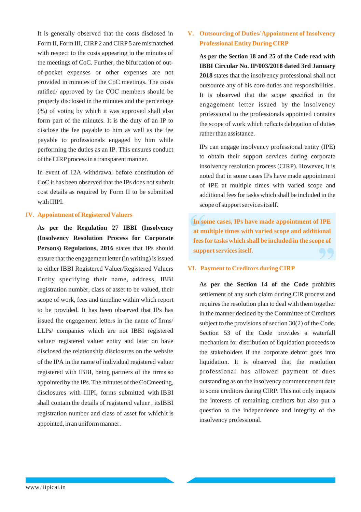It is generally observed that the costs disclosed in Form II, Form III, CIRP2 and CIRP5 are mismatched with respect to the costs appearing in the minutes of the meetings of CoC. Further, the bifurcation of outof-pocket expenses or other expenses are not provided in minutes of the CoC meetings. The costs ratified/ approved by the COC members should be properly disclosed in the minutes and the percentage (%) of voting by which it was approved shall also form part of the minutes. It is the duty of an IP to disclose the fee payable to him as well as the fee payable to professionals engaged by him while performing the duties as an IP. This ensures conduct of the CIRP process in a transparent manner.

In event of 12A withdrawal before constitution of CoC it has been observed that the IPs does not submit cost details as required by Form II to be submitted with IIIPI.

### **IV. Appointment of RegisteredValuers**

**As per the Regulation 27 IBBI (Insolvency (Insolvency Resolution Process for Corporate** Persons) Regulations, 2016 states that IPs should ensure that the engagement letter (in writing) is issued to either IBBI Registered Valuer/Registered Valuers Entity specifying their name, address, IBBI registration number, class of asset to be valued, their scope of work, fees and timeline within which report to be provided. It has been observed that IPs has issued the engagement letters in the name of firms/ LLPs/ companies which are not IBBI registered valuer/ registered valuer entity and later on have disclosed the relationship disclosures on the website of the IPA in the name of individual registered valuer registered with IBBI, being partners of the firms so appointed by the IPs. The minutes of the CoCmeeting, disclosures with IIIPI, forms submitted with IBBI shall contain the details of registered valuer , itsIBBI registration number and class of asset for whichit is appointed, in an uniform manner.

# **V.** Outsourcing of Duties/Appointment of Insolvency **ProfessionalEntity During CIRP**

**As per the Section 18 and 25 of the Code read with IBBI Circular No. IP/003/2018 dated 3rd January 2018** states that the insolvency professional shall not outsource any of his core duties and responsibilities. It is observed that the scope specified in the engagement letter issued by the insolvency professional to the professionals appointed contains the scope of work which reflects delegation of duties rather than assistance.

IPs can engage insolvency professional entity (IPE) to obtain their support services during corporate insolvency resolution process (CIRP). However, it is noted that in some cases IPs have made appointment of IPE at multiple times with varied scope and additional feesfor tasks which shall be included in the scope of support services itself.

**In some cases, IPs have made appointment of IPE at multiple times with varied scope and additional feesfor tasks which shall be included in the scope of supportservicesitself.**

### **VI. Paymentto Creditors during CIRP**

**As per the Section 14 of the Code** prohibits settlement of any such claim during CIR process and requires the resolution plan to deal with them together in the manner decided by the Committee of Creditors subject to the provisions of section 30(2) of the Code. Section 53 of the Code provides a waterfall mechanism for distribution of liquidation proceeds to the stakeholders if the corporate debtor goes into liquidation. It is observed that the resolution professional has allowed payment of dues outstanding as on the insolvency commencement date to some creditors during CIRP. This not only impacts the interests of remaining creditors but also put a question to the independence and integrity of the insolvency professional.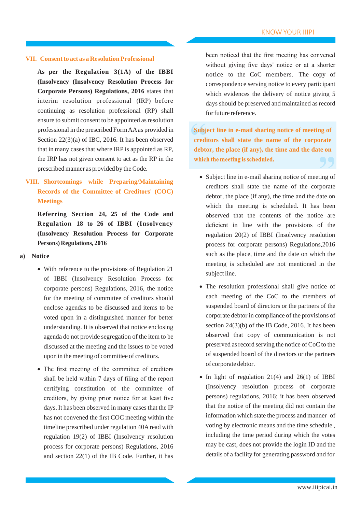### **VII. Consentto act as a Resolution Professional**

**As per the Regulation 3(1A) of the IBBI (Insolvency (Insolvency Resolution Process for Corporate Persons) Regulations, 2016** states that interim resolution professional (IRP) before continuing as resolution professional (RP) shall ensure to submit consent to be appointed as resolution professional in the prescribed FormAAas provided in Section 22(3)(a) of IBC, 2016. It has been observed that in many cases that where IRP is appointed as RP, the IRP has not given consent to act as the RP in the prescribed manner as provided by theCode.

# **VIII. Shortcomings while Preparing/Maintaining Records of the Committee of Creditors' (COC) Meetings**

**Referring Section 24, 25 of the Code and Regulation 18 to 26 of IBBI (Insolvency (Insolvency Resolution Process for Corporate Persons) Regulations, 2016**

### **a) Notice**

- With reference to the provisions of Regulation 21 of IBBI (Insolvency Resolution Process for corporate persons) Regulations, 2016, the notice for the meeting of committee of creditors should enclose agendas to be discussed and items to be voted upon in a distinguished manner for better understanding. It is observed that notice enclosing agenda do not provide segregation of the item to be discussed at the meeting and the issues to be voted upon in themeeting of committee of creditors.
- The first meeting of the committee of creditors shall be held within 7 days of filing of the report certifying constitution of the committee of creditors, by giving prior notice for at least five days. It has been observed in many cases that the IP has not convened the first COC meeting within the timeline prescribed under regulation 40A read with regulation 19(2) of IBBI (Insolvency resolution process for corporate persons) Regulations, 2016 and section 22(1) of the IB Code. Further, it has

been noticed that the first meeting has convened without giving five days' notice or at a shorter notice to the CoC members. The copy of correspondence serving notice to every participant which evidences the delivery of notice giving 5 days should be preserved and maintained as record for future reference.

**Subject line in e-mail sharing notice of meeting of creditors shall state the name of the corporate debtor, the place (if any), the time and the date on**which the meeting is scheduled.

- Subject line in e-mail sharing notice of meeting of creditors shall state the name of the corporate debtor, the place (if any), the time and the date on which the meeting is scheduled. It has been observed that the contents of the notice are deficient in line with the provisions of the regulation 20(2) of IBBI (Insolvency resolution process for corporate persons) Regulations,2016 such as the place, time and the date on which the meeting is scheduled are not mentioned in the subject line.
- The resolution professional shall give notice of each meeting of the CoC to the members of suspended board of directors or the partners of the corporate debtor in compliance of the provisions of section 24(3)(b) of the IB Code, 2016. It has been observed that copy of communication is not preserved as record serving the notice of CoC to the of suspended board of the directors or the partners of corporate debtor.
- In light of regulation 21(4) and 26(1) of IBBI (Insolvency resolution process of corporate persons) regulations, 2016; it has been observed that the notice of the meeting did not contain the information which state the process and manner of voting by electronic means and the time schedule , including the time period during which the votes may be cast, does not provide the login ID and the details of a facility for generating password and for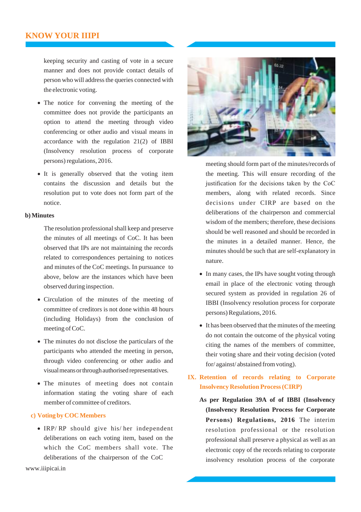keeping security and casting of vote in a secure manner and does not provide contact details of person who will address the queries connected with the electronic voting.

- The notice for convening the meeting of the committee does not provide the participants an option to attend the meeting through video conferencing or other audio and visual means in accordance with the regulation 21(2) of IBBI (Insolvency resolution process of corporate persons)regulations, 2016.
- It is generally observed that the voting item contains the discussion and details but the resolution put to vote does not form part of the notice.

### **b) Minutes**

The resolution professional shall keep and preserve the minutes of all meetings of CoC. It has been observed that IPs are not maintaining the records related to correspondences pertaining to notices and minutes of the CoC meetings. In pursuance to above, below are the instances which have been observed during inspection.

- Circulation of the minutes of the meeting of committee of creditors is not done within 48 hours (including Holidays) from the conclusion of meeting of CoC.
- The minutes do not disclose the particulars of the participants who attended the meeting in person, through video conferencing or other audio and visualmeansorthroughauthorised representatives.
- The minutes of meeting does not contain information stating the voting share of each member of committee of creditors.

### **c) Voting by COCMembers**

• IRP/ RP should give his/ her independent deliberations on each voting item, based on the which the CoC members shall vote. The deliberations of the chairperson of the CoC



meeting should form part of the minutes/records of the meeting. This will ensure recording of the justification for the decisions taken by the CoC members, along with related records. Since decisions under CIRP are based on the deliberations of the chairperson and commercial wisdom of the members; therefore, these decisions should be well reasoned and should be recorded in the minutes in a detailed manner. Hence, the minutes should be such that are self-explanatory in nature.

- In many cases, the IPs have sought voting through email in place of the electronic voting through secured system as provided in regulation 26 of IBBI (Insolvency resolution process for corporate persons) Regulations, 2016.
- It has been observed that the minutes of the meeting do not contain the outcome of the physical voting citing the names of the members of committee, their voting share and their voting decision (voted for/against/abstained from voting).

# **IX. Retention of records relating to Corporate Insolvency Resolution Process(CIRP)**

**As per Regulation 39A of of IBBI (Insolvency (Insolvency Resolution Process for Corporate Persons) Regulations, 2016** The interim resolution professional or the resolution professional shall preserve a physical as well as an electronic copy of the records relating to corporate insolvency resolution process of the corporate

[www.iiipicai.in](http://www.iiipicai.in/)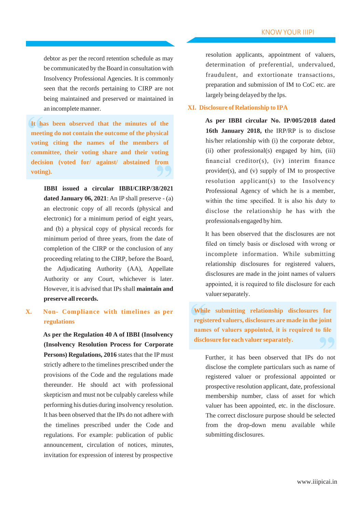debtor as per the record retention schedule as may be communicated by the Board in consultation with Insolvency Professional Agencies. It is commonly seen that the records pertaining to CIRP are not being maintained and preserved or maintained in an incompletemanner.

**It has been observed that the minutes of the meeting do not contain the outcome of the physical voting citing the names of the members of committee, their voting share and their voting decision (voted for/ against/ abstained from voting).**

**IBBI issued a circular IBBI/CIRP/38/2021 dated January 06, 2021**: An IP shall preserve - (a) an electronic copy of all records (physical and electronic) for a minimum period of eight years, and (b) a physical copy of physical records for minimum period of three years, from the date of completion of the CIRP or the conclusion of any proceeding relating to the CIRP, before the Board, the Adjudicating Authority (AA), Appellate Authority or any Court, whichever is later. However, it is advised that IPs shall **maintain and preserve all records.**

# **X. Non- Compliance with timelines as per regulations**

**As per the Regulation 40 A of IBBI (Insolvency (Insolvency Resolution Process for Corporate Persons) Regulations, 2016** states that the IP must strictly adhere to the timelines prescribed under the provisions of the Code and the regulations made thereunder. He should act with professional skepticism and must not be culpably careless while performing his duties during insolvency resolution. It has been observed that the IPs do not adhere with the timelines prescribed under the Code and regulations. For example: publication of public announcement, circulation of notices, minutes, invitation for expression of interest by prospective

resolution applicants, appointment of valuers, determination of preferential, undervalued, fraudulent, and extortionate transactions, preparation and submission of IM to CoC etc. are largely being delayed by the Ips.

### **XI. Disclosure of Relationship to IPA**

**As per IBBI circular No. IP/005/2018 dated 16th January 2018, t**he IRP/RP is to disclose his/her relationship with (i) the corporate debtor, (ii) other professional(s) engaged by him, (iii) financial creditor(s), (iv) interim finance provider(s), and (v) supply of IM to prospective resolution applicant(s) to the Insolvency Professional Agency of which he is a member, within the time specified. It is also his duty to disclose the relationship he has with the professionals engaged by him.

It has been observed that the disclosures are not filed on timely basis or disclosed with wrong or incomplete information. While submitting relationship disclosures for registered valuers, disclosures are made in the joint names of valuers appointed, it is required to file disclosure for each valuer separately.

**While submitting relationship disclosures for registered valuers, disclosures are made in the joint names of valuers appointed, it is required to file disclosure for each valuer separately.**

Further, it has been observed that IPs do not disclose the complete particulars such as name of registered valuer or professional appointed or prospective resolution applicant, date, professional membership number, class of asset for which valuer has been appointed, etc. in the disclosure. The correct disclosure purpose should be selected from the drop-down menu available while submitting disclosures.